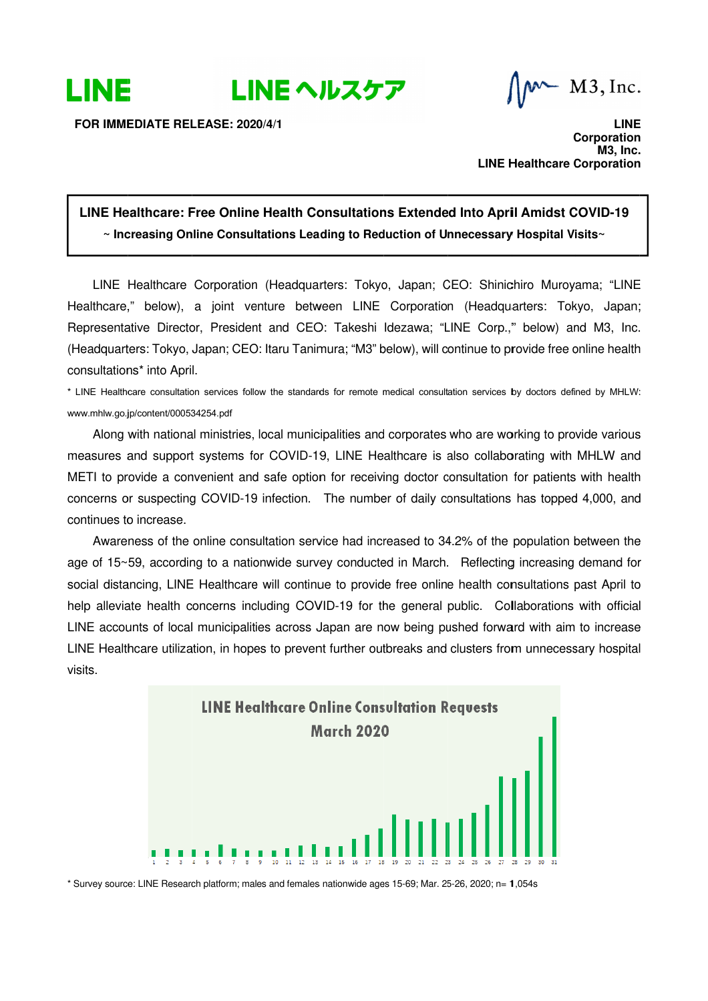

M3, Inc.

**FOR IMMEDIATE RELEASE: 2020/ RELEASE: IMMEDIATE 2020/4/1**

**LINE Healthcare Corporation LINE Healthcare Corporation Corporation CorporationM3, Inc. LINE** 

## LINE Healthcare: Free Online Health Consultations Extended Into April Amidst COVID-19  $\sim$  Increasing Online Consultations Leading to Reduction of Unnecessary Hospital Visits $\sim$

LINE Healthcare Corporation (Headquarters: Tokyo, Japan; CEO: Shinichiro Muroyama; "LINE LINE Healthcare Corporation (Headquarters: Tokyo, Japan; CE<br>Healthcare," below), a joint venture between LINE Corporation Representative Director, President and CEO: Takeshi Idezawa; "LINE (Headquarters: Tokyo, Japan; CEO: Itaru Tanimura; "M3" below), consultations<sup>\*</sup> into April. Representative Director, President and CEO: Takeshi Idezawa; "LINE Corp.," below) and M3, Inc.<br>(Headquarters: Tokyo, Japan; CEO: Itaru Tanimura; "M3" below), will continue to provide free online health<br>consultations\* into " below), a<br>tive Director<br>ers: Tokyo, Ja<br>ns\* into April. LINE Healthcare Corporation (Headquarters: Tokyo, Japan; CEO: Shinichiro Muroyama; "LINE<br>thcare," below), a joint venture between LINE Corporation (Headquarters: Tokyo, Japan;<br>resentative Director, President and CEO: Takes Healthcare," below), a joint venture between LINE Corporation (Headquarters: Tokyo, Japan;<br>Representative Director, President and CEO: Takeshi Idezawa; "LINE Corp.," below) and M3, Inc.

\* LINE Healthcare consultation services follow the standards for remote medical consultation services by doctors defined by MHLW: www.mhlw.go.jp/content/000534254.pdf

Along with national ministries, local municipalities and corporates who are working to provide various measures and support systems METI to provide a convenient and safe option for receiving doctor consultation for patients with health concerns or suspecting COVID-19 infection. The number of daily consultations has topped 4,000, and continues to increase. concerns or suspecting COVID-19 infection. The number of daily consultations has topped 4,000, and<br>continues to increase.<br>Awareness of the online consultation service had increased to 34.2% of the population between the g with national ministries<br>s and support systems<br>provide a convenient aı i, local municipalities and corporates who are working to provide various<br>for COVID-19, LINE Healthcare is also collaborating with MHLW and working to provide various<br>borating with MHLW and<br>on for patients with health<br>ns has topped 4,000, and<br>ne population between the<br>ing increasing demand for

concerns or suspecting COVID-19 infection. The number of daily consultations has topped 4,000, and<br>continues to increase.<br>Awareness of the online consultation service had increased to 34.2% of the population between the<br>ag social distancing, LINE Healthcare will continue to provide free online health consultations past April to age of 15~59, according to a nationwide survey conducted in March. Reflecting increasing demand for<br>social distancing, LINE Healthcare will continue to provide free online health consultations past April to<br>help alleviat LINE accounts of local municipalities across Japan are now being pushed forward with aim to increase LINE accounts of local municipalities across Japan are now being pushed forward with aim to increase<br>LINE Healthcare utilization, in hopes to prevent further outbreaks and clusters from unnecessary hospital visits. incerns including COVID-19 for the general public. Collaborations with official<br>municipalities across Japan are now being pushed forward with aim to increase<br>ion, in hopes to prevent further outbreaks and clusters from unn The number of daily consultations has topped 4,000, a<br>ice had increased to 34.2% of the population between<br>ey conducted in March. Reflecting increasing demand



\* Survey source: LINE Research platform; males and females nationwide ages 15-69; Mar. 25-26, 2020; n= 1,054s